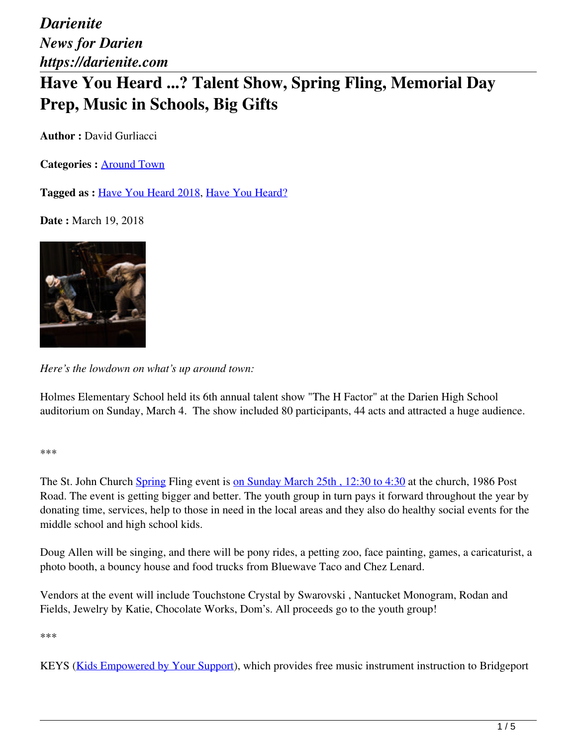# **Have You Heard ...? Talent Show, Spring Fling, Memorial Day Prep, Music in Schools, Big Gifts**

**Author :** David Gurliacci

**Categories :** [Around Town](https://darienite.com/category/news/around-town)

**Tagged as :** Have You Heard 2018, Have You Heard?

**Date : March 19, 2018** 



*Here's the lowdown on what's up around town:*

Holmes Elementary School held its 6th annual talent show "The H Factor" at the Darien High School auditorium on Sunday, March 4. The show included 80 participants, 44 acts and attracted a huge audience.

#### \*\*\*

The St. John Church Spring Fling event is on Sunday March 25th, 12:30 to 4:30 at the church, 1986 Post Road. The event is getting bigger and better. The youth group in turn pays it forward throughout the year by donating time, services, help to those in need in the local areas and they also do healthy social events for the middle school and high school kids.

Doug Allen will be singing, and there will be pony rides, a petting zoo, face painting, games, a caricaturist, a photo booth, a bouncy house and food trucks from Bluewave Taco and Chez Lenard.

Vendors at the event will include Touchstone Crystal by Swarovski , Nantucket Monogram, Rodan and Fields, Jewelry by Katie, Chocolate Works, Dom's. All proceeds go to the youth group!

\*\*\*

KEYS (Kids Empowered by Your Support), which provides free music instrument instruction to Bridgeport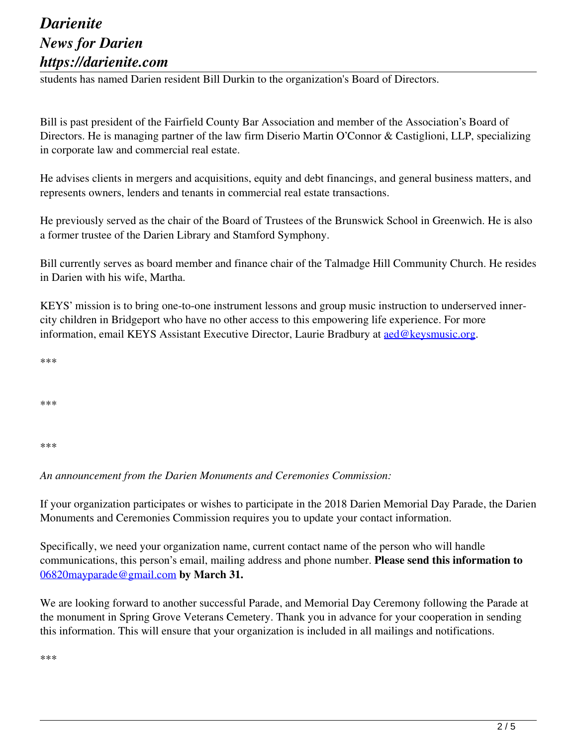students has named Darien resident Bill Durkin to the organization's Board of Directors.

Bill is past president of the Fairfield County Bar Association and member of the Association's Board of Directors. He is managing partner of the law firm Diserio Martin O'Connor & Castiglioni, LLP, specializing in corporate law and commercial real estate.

He advises clients in mergers and acquisitions, equity and debt financings, and general business matters, and represents owners, lenders and tenants in commercial real estate transactions.

He previously served as the chair of the Board of Trustees of the Brunswick School in Greenwich. He is also a former trustee of the Darien Library and Stamford Symphony.

Bill currently serves as board member and finance chair of the Talmadge Hill Community Church. He resides in Darien with his wife, Martha.

KEYS' mission is to bring one-to-one instrument lessons and group music instruction to underserved innercity children in Bridgeport who have no other access to this empowering life experience. For more information, email KEYS Assistant Executive Director, Laurie Bradbury at **aed@keysmusic.org**.

\*\*\*

\*\*\*

\*\*\*

### *An announcement from the Darien Monuments and Ceremonies Commission:*

If your organization participates or wishes to participate in the 2018 Darien Memorial Day Parade, the Darien Monuments and Ceremonies Commission requires you to update your contact information.

Specifically, we need your organization name, current contact name of the person who will handle communications, this person's email, mailing address and phone number. **Please send this information to**  06820mayparade@gmail.com **by March 31.** 

We are looking forward to another successful Parade, and Memorial Day Ceremony following the Parade at the monument in Spring Grove Veterans Cemetery. Thank you in advance for your cooperation in sending this information. This will ensure that your organization is included in all mailings and notifications.

\*\*\*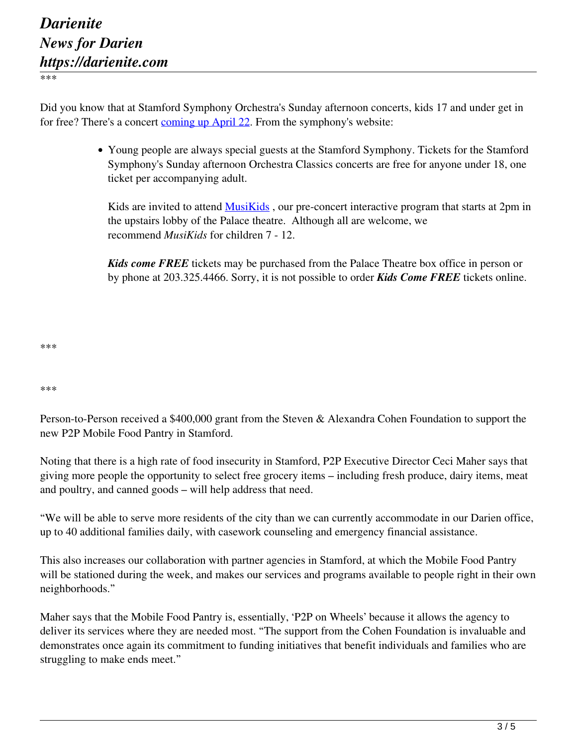\*\*\*

Did you know that at Stamford Symphony Orchestra's Sunday afternoon concerts, kids 17 and under get in for free? There's a concert coming up April 22. From the symphony's website:

> Young people are always special guests at the Stamford Symphony. Tickets for the Stamford Symphony's Sunday afternoon Orchestra Classics concerts are free for anyone under 18, one ticket per accompanying adult.

Kids are invited to attend **MusiKids**, our pre-concert interactive program that starts at 2pm in the upstairs lobby of the Palace theatre. Although all are welcome, we recommend *MusiKids* for children 7 - 12.

*Kids come FREE* tickets may be purchased from the Palace Theatre box office in person or by phone at 203.325.4466. Sorry, it is not possible to order *Kids Come FREE* tickets online.

\*\*\*

\*\*\*

Person-to-Person received a \$400,000 grant from the Steven & Alexandra Cohen Foundation to support the new P2P Mobile Food Pantry in Stamford.

Noting that there is a high rate of food insecurity in Stamford, P2P Executive Director Ceci Maher says that giving more people the opportunity to select free grocery items – including fresh produce, dairy items, meat and poultry, and canned goods – will help address that need.

"We will be able to serve more residents of the city than we can currently accommodate in our Darien office, up to 40 additional families daily, with casework counseling and emergency financial assistance.

This also increases our collaboration with partner agencies in Stamford, at which the Mobile Food Pantry will be stationed during the week, and makes our services and programs available to people right in their own neighborhoods."

Maher says that the Mobile Food Pantry is, essentially, 'P2P on Wheels' because it allows the agency to deliver its services where they are needed most. "The support from the Cohen Foundation is invaluable and demonstrates once again its commitment to funding initiatives that benefit individuals and families who are struggling to make ends meet."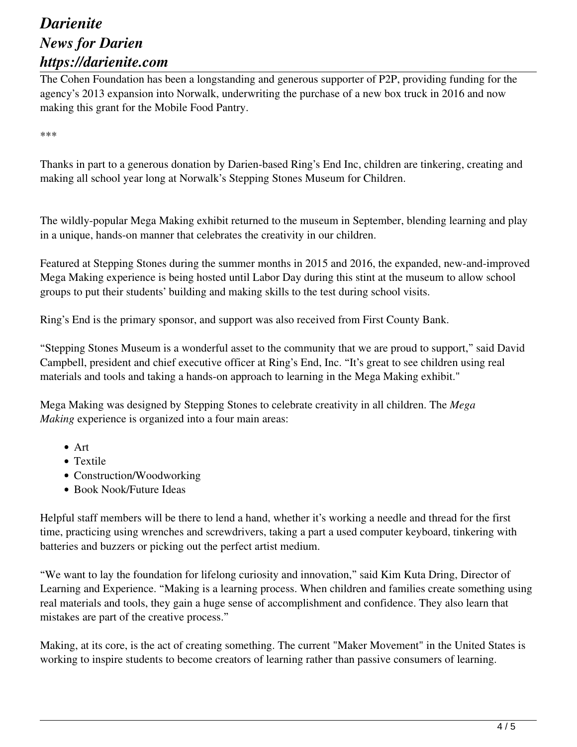The Cohen Foundation has been a longstanding and generous supporter of P2P, providing funding for the agency's 2013 expansion into Norwalk, underwriting the purchase of a new box truck in 2016 and now making this grant for the Mobile Food Pantry.

\*\*\*

Thanks in part to a generous donation by Darien-based Ring's End Inc, children are tinkering, creating and making all school year long at Norwalk's Stepping Stones Museum for Children.

The wildly-popular Mega Making exhibit returned to the museum in September, blending learning and play in a unique, hands-on manner that celebrates the creativity in our children.

Featured at Stepping Stones during the summer months in 2015 and 2016, the expanded, new-and-improved Mega Making experience is being hosted until Labor Day during this stint at the museum to allow school groups to put their students' building and making skills to the test during school visits.

Ring's End is the primary sponsor, and support was also received from First County Bank.

"Stepping Stones Museum is a wonderful asset to the community that we are proud to support," said David Campbell, president and chief executive officer at Ring's End, Inc. "It's great to see children using real materials and tools and taking a hands-on approach to learning in the Mega Making exhibit."

Mega Making was designed by Stepping Stones to celebrate creativity in all children. The *Mega Making* experience is organized into a four main areas:

- Art
- Textile
- Construction/Woodworking
- Book Nook/Future Ideas

Helpful staff members will be there to lend a hand, whether it's working a needle and thread for the first time, practicing using wrenches and screwdrivers, taking a part a used computer keyboard, tinkering with batteries and buzzers or picking out the perfect artist medium.

"We want to lay the foundation for lifelong curiosity and innovation," said Kim Kuta Dring, Director of Learning and Experience. "Making is a learning process. When children and families create something using real materials and tools, they gain a huge sense of accomplishment and confidence. They also learn that mistakes are part of the creative process."

Making, at its core, is the act of creating something. The current "Maker Movement" in the United States is working to inspire students to become creators of learning rather than passive consumers of learning.